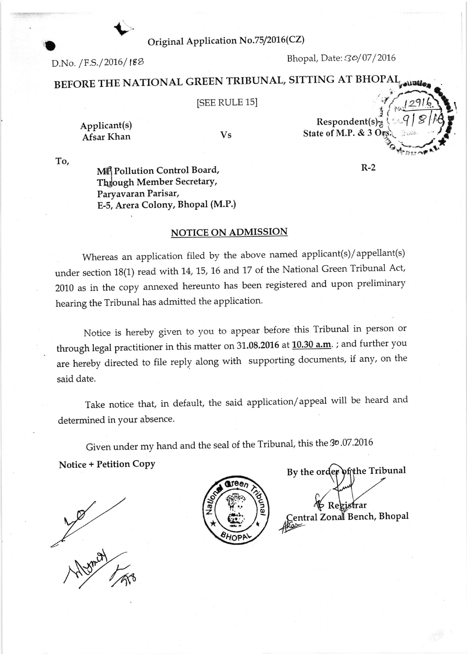Original Application No.75/2016(CZ)

 $D.No. / F.S. / 2016 / 188$ 

 $\blacklozenge$ 

Bhopal, Date: 30/07/2016

# BEFORE THE NATIONAL GREEN TRIBUNAL, SITTING AT BHOPAL<sub>y aluate</sub>

# **ISEE RULE 15]**

Applicant(s) Afsar Khan

Vs

 $\frac{1}{\frac{1}{2}}$  $Respondent(s)$ State of M.P. & 3 Or: i-"--l:

R-2

To,

 $\blacksquare$ 

MA Pollution Control Board, Through Member Secretary, Paryavaran Parisar, E-5, Arera Colony, Bhopal (M.P.)

### NOTICE ON ADMISSION

Whereas an application filed by the above named applicant(s)/appellant(s) under section 18(1) read with 14, 15, 16 and 17 of the National Green Tribunal Act, 2010 as in the copy annexed hereunto has been registered and upon preliminary hearing the Tribunal has admitted the application.

Notice is hereby given to you to appear before this Tribunal in person or through legal practitioner in this matter on  $31.08.2016$  at  $10.30$  a.m.; and further you are hereby directed to file reply along with supporting documents, if any, on the said date.

Take notice that, in default, the said application/appeal witl be heard and determined in Your absence.

Given under my hand and the seal of the Tribunal, this the 30.07.2016 Notice + Petition Copy

Mymor



By the order of the Tribunal frar  $>$  Re entral Zonal Bench, Bhopal